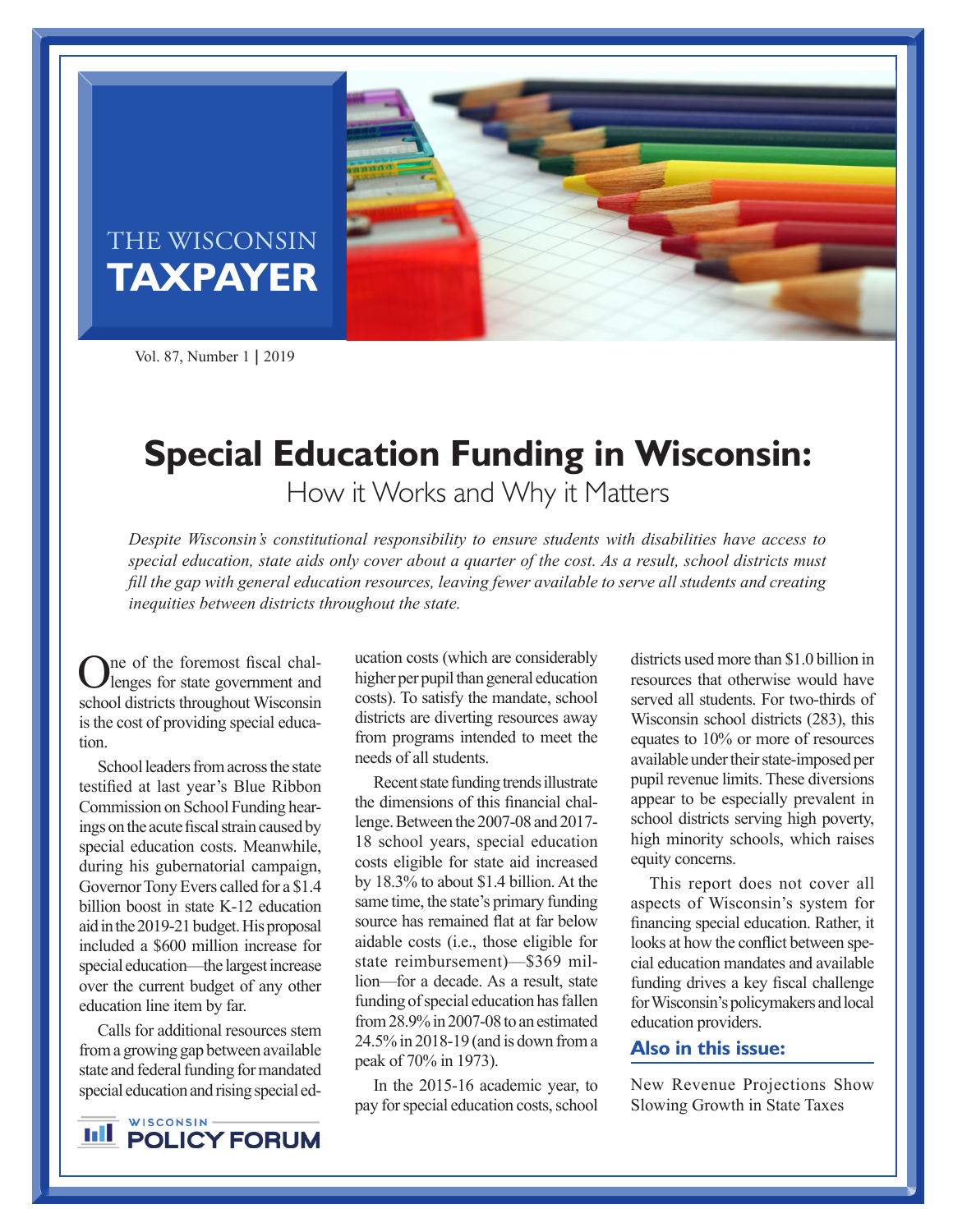

# THE WISCONSIN **TAXPAYER**

Vol. 87, Number 1 **|** 2019

# **Special Education Funding in Wisconsin:**

How it Works and Why it Matters

*Despite Wisconsin's constitutional responsibility to ensure students with disabilities have access to special education, state aids only cover about a quarter of the cost. As a result, school districts must fill the gap with general education resources, leaving fewer available to serve all students and creating inequities between districts throughout the state.*

One of the foremost fiscal chal-lenges for state government and school districts throughout Wisconsin is the cost of providing special education.

School leaders from across the state testified at last year's Blue Ribbon Commission on School Funding hearings on the acute fiscal strain caused by special education costs. Meanwhile, during his gubernatorial campaign, Governor Tony Evers called for a \$1.4 billion boost in state K-12 education aid in the 2019-21 budget. His proposal included a \$600 million increase for special education—the largest increase over the current budget of any other education line item by far.

Calls for additional resources stem from a growing gap between available state and federal funding for mandated special education and rising special ed-

WISCONSIN-**IILL** POLICY FORUM ucation costs (which are considerably higher per pupil than general education costs). To satisfy the mandate, school districts are diverting resources away from programs intended to meet the needs of all students.

Recent state funding trends illustrate the dimensions of this financial challenge. Between the 2007-08 and 2017- 18 school years, special education costs eligible for state aid increased by 18.3% to about \$1.4 billion. At the same time, the state's primary funding source has remained flat at far below aidable costs (i.e., those eligible for state reimbursement)—\$369 million—for a decade. As a result, state funding of special education has fallen from 28.9% in 2007-08 to an estimated 24.5% in 2018-19 (and is down from a peak of 70% in 1973).

In the 2015-16 academic year, to pay for special education costs, school districts used more than \$1.0 billion in resources that otherwise would have served all students. For two-thirds of Wisconsin school districts (283), this equates to 10% or more of resources available under their state-imposed per pupil revenue limits. These diversions appear to be especially prevalent in school districts serving high poverty, high minority schools, which raises equity concerns.

This report does not cover all aspects of Wisconsin's system for financing special education. Rather, it looks at how the conflict between special education mandates and available funding drives a key fiscal challenge for Wisconsin's policymakers and local education providers.

## **Also in this issue:**

New Revenue Projections Show Slowing Growth in State Taxes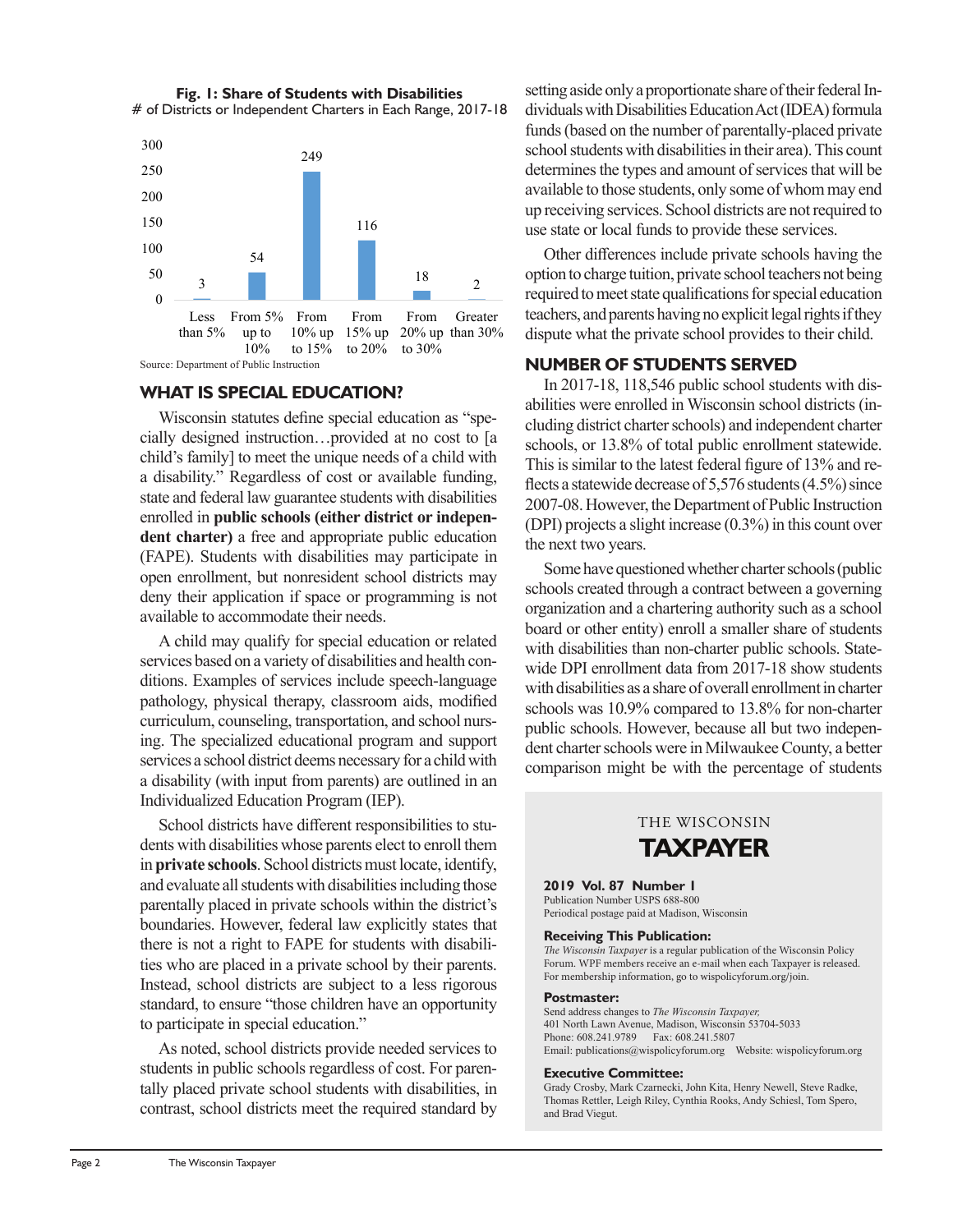**Fig. 1: Share of Students with Disabilities** # of Districts or Independent Charters in Each Range, 2017-18



#### **WHAT IS SPECIAL EDUCATION?**

Wisconsin statutes define special education as "specially designed instruction…provided at no cost to [a child's family] to meet the unique needs of a child with a disability." Regardless of cost or available funding, state and federal law guarantee students with disabilities enrolled in **public schools (either district or independent charter)** a free and appropriate public education (FAPE). Students with disabilities may participate in open enrollment, but nonresident school districts may deny their application if space or programming is not available to accommodate their needs.

A child may qualify for special education or related services based on a variety of disabilities and health conditions. Examples of services include speech-language pathology, physical therapy, classroom aids, modified curriculum, counseling, transportation, and school nursing. The specialized educational program and support services a school district deems necessary for a child with a disability (with input from parents) are outlined in an Individualized Education Program (IEP).

School districts have different responsibilities to students with disabilities whose parents elect to enroll them in **private schools**. School districts must locate, identify, and evaluate all students with disabilities including those parentally placed in private schools within the district's boundaries. However, federal law explicitly states that there is not a right to FAPE for students with disabilities who are placed in a private school by their parents. Instead, school districts are subject to a less rigorous standard, to ensure "those children have an opportunity to participate in special education."

As noted, school districts provide needed services to students in public schools regardless of cost. For parentally placed private school students with disabilities, in contrast, school districts meet the required standard by setting aside only a proportionate share of their federal Individuals with Disabilities Education Act (IDEA) formula funds (based on the number of parentally-placed private school students with disabilities in their area). This count determines the types and amount of services that will be available to those students, only some of whom may end up receiving services. School districts are not required to use state or local funds to provide these services.

Other differences include private schools having the option to charge tuition, private school teachers not being required to meet state qualifications for special education teachers, and parents having no explicit legal rights if they dispute what the private school provides to their child.

#### **NUMBER OF STUDENTS SERVED**

In 2017-18, 118,546 public school students with disabilities were enrolled in Wisconsin school districts (including district charter schools) and independent charter schools, or 13.8% of total public enrollment statewide. This is similar to the latest federal figure of 13% and reflects a statewide decrease of 5,576 students (4.5%) since 2007-08. However, the Department of Public Instruction (DPI) projects a slight increase (0.3%) in this count over the next two years.

Some have questioned whether charter schools (public schools created through a contract between a governing organization and a chartering authority such as a school board or other entity) enroll a smaller share of students with disabilities than non-charter public schools. Statewide DPI enrollment data from 2017-18 show students with disabilities as a share of overall enrollment in charter schools was 10.9% compared to 13.8% for non-charter public schools. However, because all but two independent charter schools were in Milwaukee County, a better comparison might be with the percentage of students

# THE WISCONSIN **TAXPAYER**

#### **2019 Vol. 87 Number 1**

Publication Number USPS 688-800 Periodical postage paid at Madison, Wisconsin

#### **Receiving This Publication:**

*The Wisconsin Taxpayer* is a regular publication of the Wisconsin Policy Forum. WPF members receive an e-mail when each Taxpayer is released. For membership information, go to wispolicyforum.org/join.

#### **Postmaster:**

Send address changes to *The Wisconsin Taxpayer,* 401 North Lawn Avenue, Madison, Wisconsin 53704-5033 Phone: 608.241.9789 Fax: 608.241.5807 Email: publications@wispolicyforum.org Website: wispolicyforum.org

#### **Executive Committee:**

Grady Crosby, Mark Czarnecki, John Kita, Henry Newell, Steve Radke, Thomas Rettler, Leigh Riley, Cynthia Rooks, Andy Schiesl, Tom Spero, and Brad Viegut.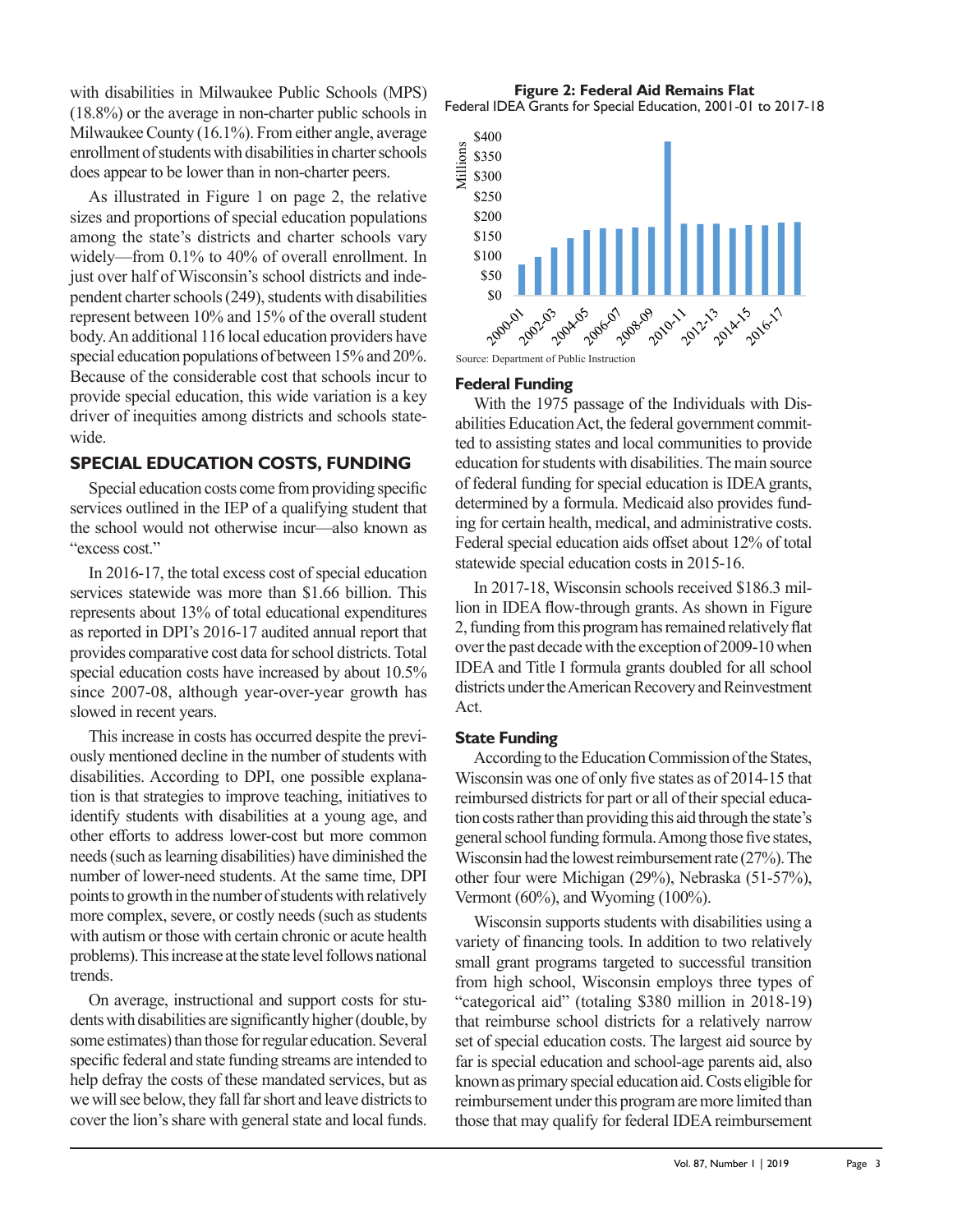with disabilities in Milwaukee Public Schools (MPS) (18.8%) or the average in non-charter public schools in Milwaukee County (16.1%). From either angle, average enrollment of students with disabilities in charter schools does appear to be lower than in non-charter peers.

As illustrated in Figure 1 on page 2, the relative sizes and proportions of special education populations among the state's districts and charter schools vary widely—from 0.1% to 40% of overall enrollment. In just over half of Wisconsin's school districts and independent charter schools (249), students with disabilities represent between 10% and 15% of the overall student body. An additional 116 local education providers have special education populations of between 15% and 20%. Because of the considerable cost that schools incur to provide special education, this wide variation is a key driver of inequities among districts and schools statewide.

### **SPECIAL EDUCATION COSTS, FUNDING**

Special education costs come from providing specific services outlined in the IEP of a qualifying student that the school would not otherwise incur—also known as "excess cost."

In 2016-17, the total excess cost of special education services statewide was more than \$1.66 billion. This represents about 13% of total educational expenditures as reported in DPI's 2016-17 audited annual report that provides comparative cost data for school districts. Total special education costs have increased by about 10.5% since 2007-08, although year-over-year growth has slowed in recent years.

This increase in costs has occurred despite the previously mentioned decline in the number of students with disabilities. According to DPI, one possible explanation is that strategies to improve teaching, initiatives to identify students with disabilities at a young age, and other efforts to address lower-cost but more common needs (such as learning disabilities) have diminished the number of lower-need students. At the same time, DPI points to growth in the number of students with relatively more complex, severe, or costly needs (such as students with autism or those with certain chronic or acute health problems). This increase at the state level follows national trends.

On average, instructional and support costs for students with disabilities are significantly higher (double, by some estimates) than those for regular education. Several specific federal and state funding streams are intended to help defray the costs of these mandated services, but as we will see below, they fall far short and leave districts to cover the lion's share with general state and local funds.

**Figure 2: Federal Aid Remains Flat** Federal IDEA Grants for Special Education, 2001-01 to 2017-18



#### **Federal Funding**

With the 1975 passage of the Individuals with Disabilities Education Act, the federal government committed to assisting states and local communities to provide education for students with disabilities. The main source of federal funding for special education is IDEA grants, determined by a formula. Medicaid also provides funding for certain health, medical, and administrative costs. Federal special education aids offset about 12% of total statewide special education costs in 2015-16.

In 2017-18, Wisconsin schools received \$186.3 million in IDEA flow-through grants. As shown in Figure 2, funding from this program has remained relatively flat over the past decade with the exception of 2009-10 when IDEA and Title I formula grants doubled for all school districts under the American Recovery and Reinvestment Act.

#### **State Funding**

According to the Education Commission of the States, Wisconsin was one of only five states as of 2014-15 that reimbursed districts for part or all of their special education costs rather than providing this aid through the state's general school funding formula. Among those five states, Wisconsin had the lowest reimbursement rate (27%). The other four were Michigan (29%), Nebraska (51-57%), Vermont (60%), and Wyoming (100%).

Wisconsin supports students with disabilities using a variety of financing tools. In addition to two relatively small grant programs targeted to successful transition from high school, Wisconsin employs three types of "categorical aid" (totaling \$380 million in 2018-19) that reimburse school districts for a relatively narrow set of special education costs. The largest aid source by far is special education and school-age parents aid, also known as primary special education aid. Costs eligible for reimbursement under this program are more limited than those that may qualify for federal IDEA reimbursement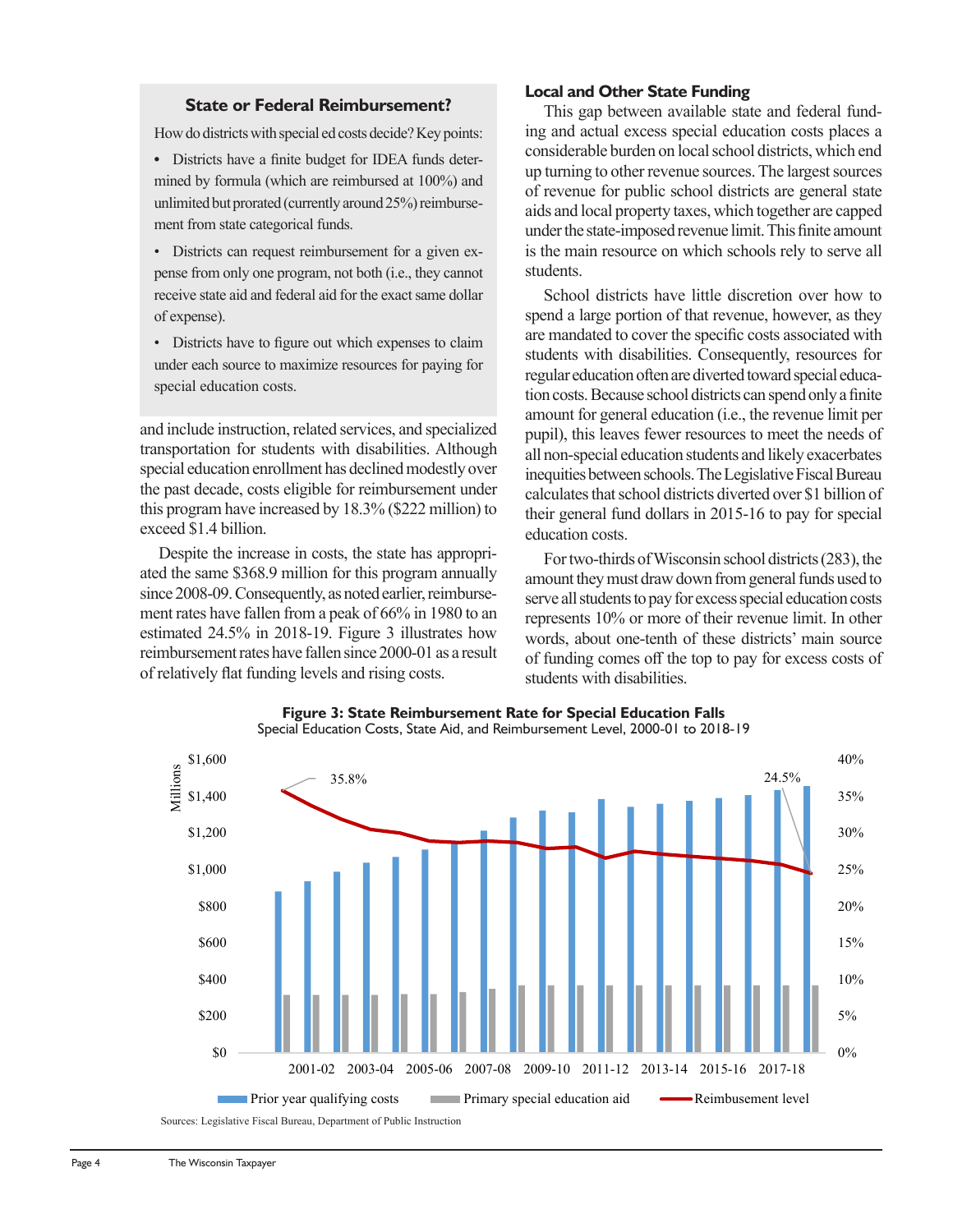#### **State or Federal Reimbursement?**

How do districts with special ed costs decide? Key points:

**•** Districts have a finite budget for IDEA funds determined by formula (which are reimbursed at 100%) and unlimited but prorated (currently around 25%) reimbursement from state categorical funds.

• Districts can request reimbursement for a given expense from only one program, not both (i.e., they cannot receive state aid and federal aid for the exact same dollar of expense).

• Districts have to figure out which expenses to claim under each source to maximize resources for paying for special education costs.

and include instruction, related services, and specialized transportation for students with disabilities. Although special education enrollment has declined modestly over the past decade, costs eligible for reimbursement under this program have increased by 18.3% (\$222 million) to exceed \$1.4 billion.

Despite the increase in costs, the state has appropriated the same \$368.9 million for this program annually since 2008-09. Consequently, as noted earlier, reimbursement rates have fallen from a peak of 66% in 1980 to an estimated 24.5% in 2018-19. Figure 3 illustrates how reimbursement rates have fallen since 2000-01 as a result of relatively flat funding levels and rising costs.

#### **Local and Other State Funding**

This gap between available state and federal funding and actual excess special education costs places a considerable burden on local school districts, which end up turning to other revenue sources. The largest sources of revenue for public school districts are general state aids and local property taxes, which together are capped under the state-imposed revenue limit. This finite amount is the main resource on which schools rely to serve all students.

School districts have little discretion over how to spend a large portion of that revenue, however, as they are mandated to cover the specific costs associated with students with disabilities. Consequently, resources for regular education often are diverted toward special education costs. Because school districts can spend only a finite amount for general education (i.e., the revenue limit per pupil), this leaves fewer resources to meet the needs of all non-special education students and likely exacerbates inequities between schools. The Legislative Fiscal Bureau calculates that school districts diverted over \$1 billion of their general fund dollars in 2015-16 to pay for special education costs.

For two-thirds of Wisconsin school districts (283), the amount they must draw down from general funds used to serve all students to pay for excess special education costs represents 10% or more of their revenue limit. In other words, about one-tenth of these districts' main source of funding comes off the top to pay for excess costs of students with disabilities.



**Figure 3: State Reimbursement Rate for Special Education Falls** Special Education Costs, State Aid, and Reimbursement Level, 2000-01 to 2018-19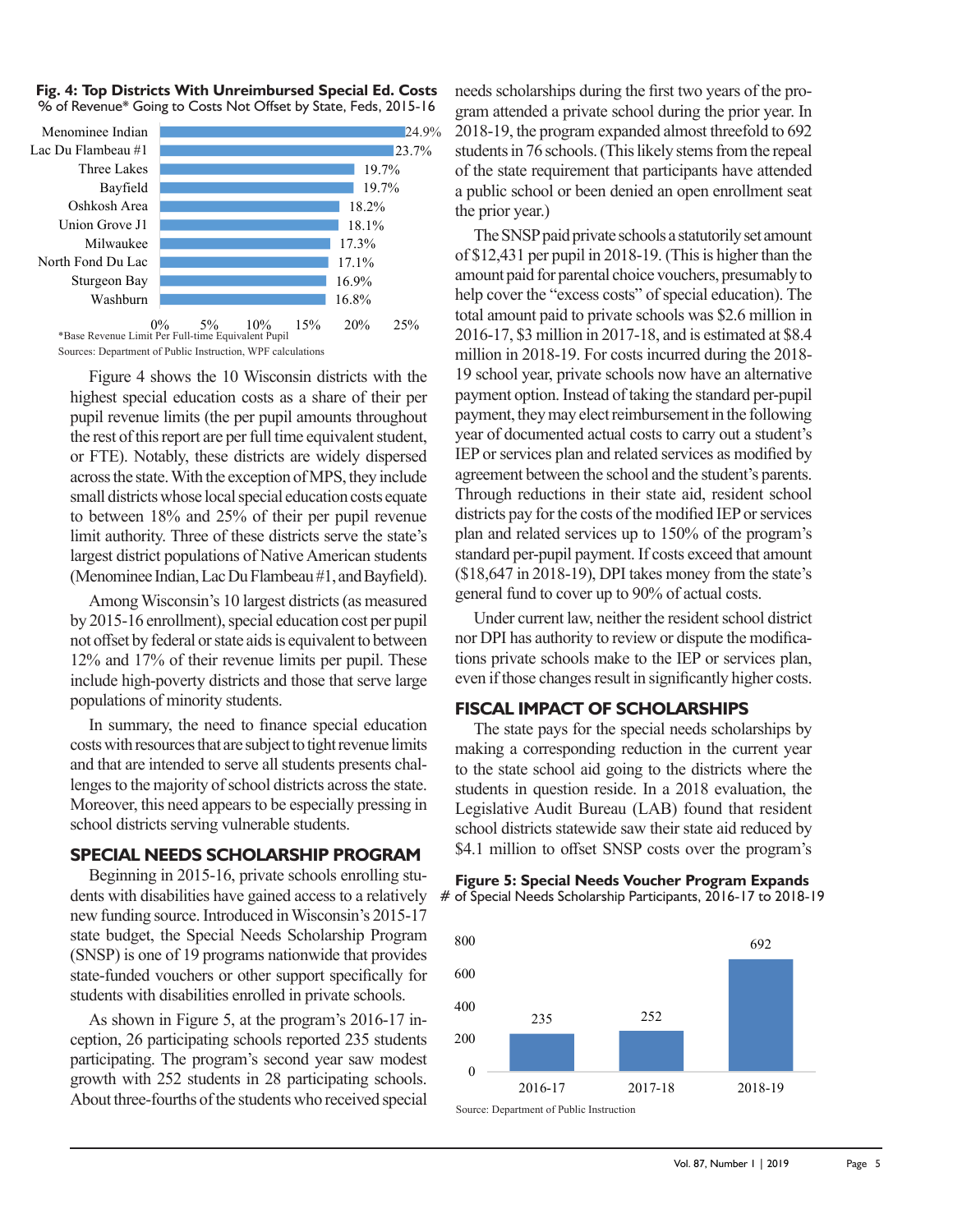



Sources: Department of Public Instruction, WPF calculations

Figure 4 shows the 10 Wisconsin districts with the highest special education costs as a share of their per pupil revenue limits (the per pupil amounts throughout the rest of this report are per full time equivalent student, or FTE). Notably, these districts are widely dispersed across the state. With the exception of MPS, they include small districts whose local special education costs equate to between 18% and 25% of their per pupil revenue limit authority. Three of these districts serve the state's largest district populations of Native American students (Menominee Indian, Lac Du Flambeau #1, and Bayfield).

Among Wisconsin's 10 largest districts (as measured by 2015-16 enrollment), special education cost per pupil not offset by federal or state aids is equivalent to between 12% and 17% of their revenue limits per pupil. These include high-poverty districts and those that serve large populations of minority students.

In summary, the need to finance special education costs with resources that are subject to tight revenue limits and that are intended to serve all students presents challenges to the majority of school districts across the state. Moreover, this need appears to be especially pressing in school districts serving vulnerable students.

#### **SPECIAL NEEDS SCHOLARSHIP PROGRAM**

Beginning in 2015-16, private schools enrolling students with disabilities have gained access to a relatively new funding source. Introduced in Wisconsin's 2015-17 state budget, the Special Needs Scholarship Program (SNSP) is one of 19 programs nationwide that provides state-funded vouchers or other support specifically for students with disabilities enrolled in private schools.

As shown in Figure 5, at the program's 2016-17 inception, 26 participating schools reported 235 students participating. The program's second year saw modest growth with 252 students in 28 participating schools. About three-fourths of the students who received special needs scholarships during the first two years of the program attended a private school during the prior year. In 2018-19, the program expanded almost threefold to 692 students in 76 schools. (This likely stems from the repeal of the state requirement that participants have attended a public school or been denied an open enrollment seat the prior year.)

The SNSP paid private schools a statutorily set amount of \$12,431 per pupil in 2018-19. (This is higher than the amount paid for parental choice vouchers, presumably to help cover the "excess costs" of special education). The total amount paid to private schools was \$2.6 million in 2016-17, \$3 million in 2017-18, and is estimated at \$8.4 million in 2018-19. For costs incurred during the 2018- 19 school year, private schools now have an alternative payment option. Instead of taking the standard per-pupil payment, they may elect reimbursement in the following year of documented actual costs to carry out a student's IEP or services plan and related services as modified by agreement between the school and the student's parents. Through reductions in their state aid, resident school districts pay for the costs of the modified IEP or services plan and related services up to 150% of the program's standard per-pupil payment. If costs exceed that amount (\$18,647 in 2018-19), DPI takes money from the state's general fund to cover up to 90% of actual costs.

Under current law, neither the resident school district nor DPI has authority to review or dispute the modifications private schools make to the IEP or services plan, even if those changes result in significantly higher costs.

#### **FISCAL IMPACT OF SCHOLARSHIPS**

The state pays for the special needs scholarships by making a corresponding reduction in the current year to the state school aid going to the districts where the students in question reside. In a 2018 evaluation, the Legislative Audit Bureau (LAB) found that resident school districts statewide saw their state aid reduced by \$4.1 million to offset SNSP costs over the program's

**Figure 5: Special Needs Voucher Program Expands** # of Special Needs Scholarship Participants, 2016-17 to 2018-19

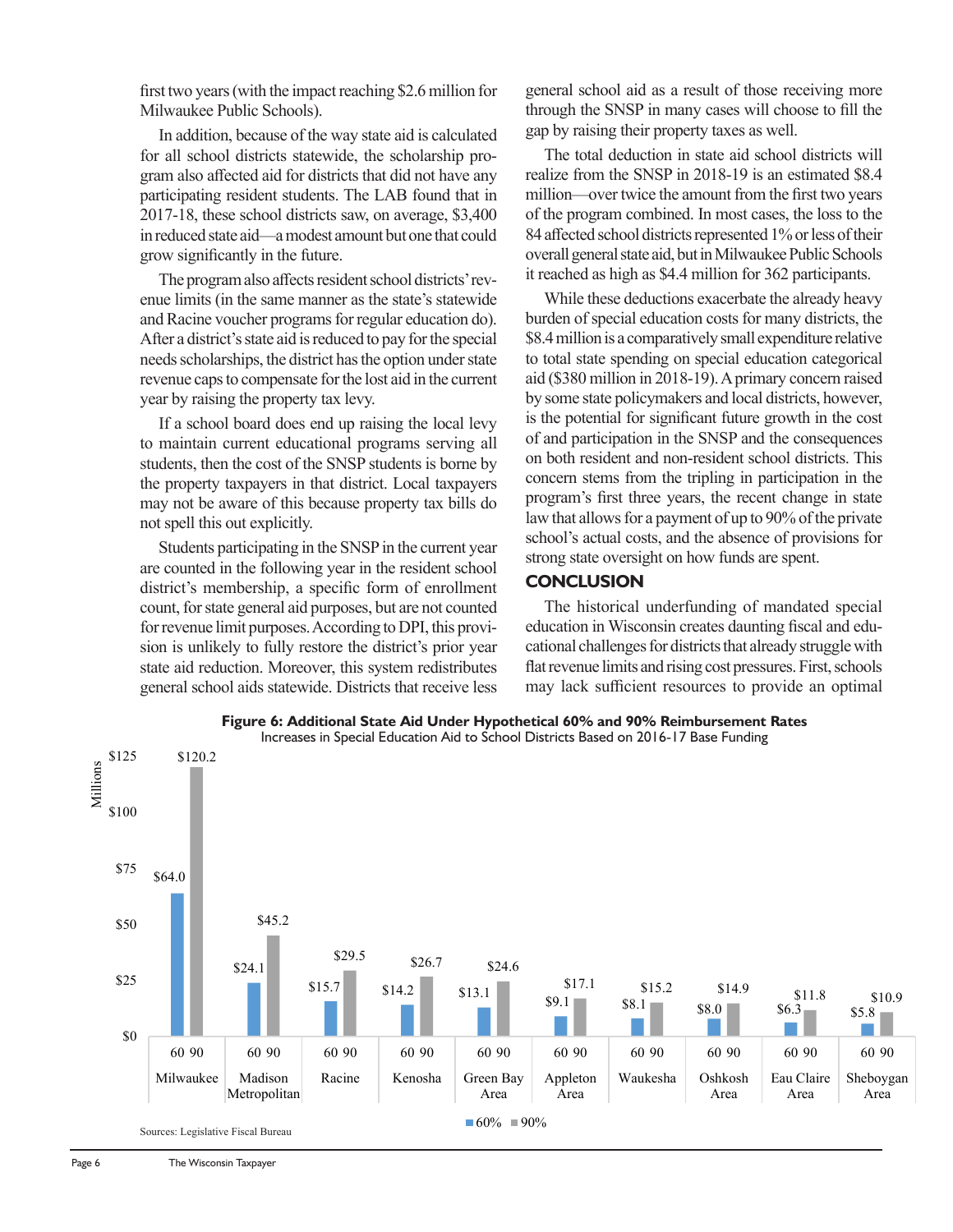first two years (with the impact reaching \$2.6 million for Milwaukee Public Schools).

In addition, because of the way state aid is calculated for all school districts statewide, the scholarship program also affected aid for districts that did not have any participating resident students. The LAB found that in 2017-18, these school districts saw, on average, \$3,400 in reduced state aid—a modest amount but one that could grow significantly in the future.

The program also affects resident school districts' revenue limits (in the same manner as the state's statewide and Racine voucher programs for regular education do). After a district's state aid is reduced to pay for the special needs scholarships, the district has the option under state revenue caps to compensate for the lost aid in the current year by raising the property tax levy.

If a school board does end up raising the local levy to maintain current educational programs serving all students, then the cost of the SNSP students is borne by the property taxpayers in that district. Local taxpayers may not be aware of this because property tax bills do not spell this out explicitly.

Students participating in the SNSP in the current year are counted in the following year in the resident school district's membership, a specific form of enrollment count, for state general aid purposes, but are not counted for revenue limit purposes. According to DPI, this provision is unlikely to fully restore the district's prior year state aid reduction. Moreover, this system redistributes general school aids statewide. Districts that receive less

general school aid as a result of those receiving more through the SNSP in many cases will choose to fill the gap by raising their property taxes as well.

The total deduction in state aid school districts will realize from the SNSP in 2018-19 is an estimated \$8.4 million—over twice the amount from the first two years of the program combined. In most cases, the loss to the 84 affected school districts represented 1% or less of their overall general state aid, but in Milwaukee Public Schools it reached as high as \$4.4 million for 362 participants.

While these deductions exacerbate the already heavy burden of special education costs for many districts, the \$8.4 million is a comparatively small expenditure relative to total state spending on special education categorical aid (\$380 million in 2018-19). A primary concern raised by some state policymakers and local districts, however, is the potential for significant future growth in the cost of and participation in the SNSP and the consequences on both resident and non-resident school districts. This concern stems from the tripling in participation in the program's first three years, the recent change in state law that allows for a payment of up to 90% of the private school's actual costs, and the absence of provisions for strong state oversight on how funds are spent.

#### **CONCLUSION**

The historical underfunding of mandated special education in Wisconsin creates daunting fiscal and educational challenges for districts that already struggle with flat revenue limits and rising cost pressures. First, schools may lack sufficient resources to provide an optimal



**Figure 6: Additional State Aid Under Hypothetical 60% and 90% Reimbursement Rates**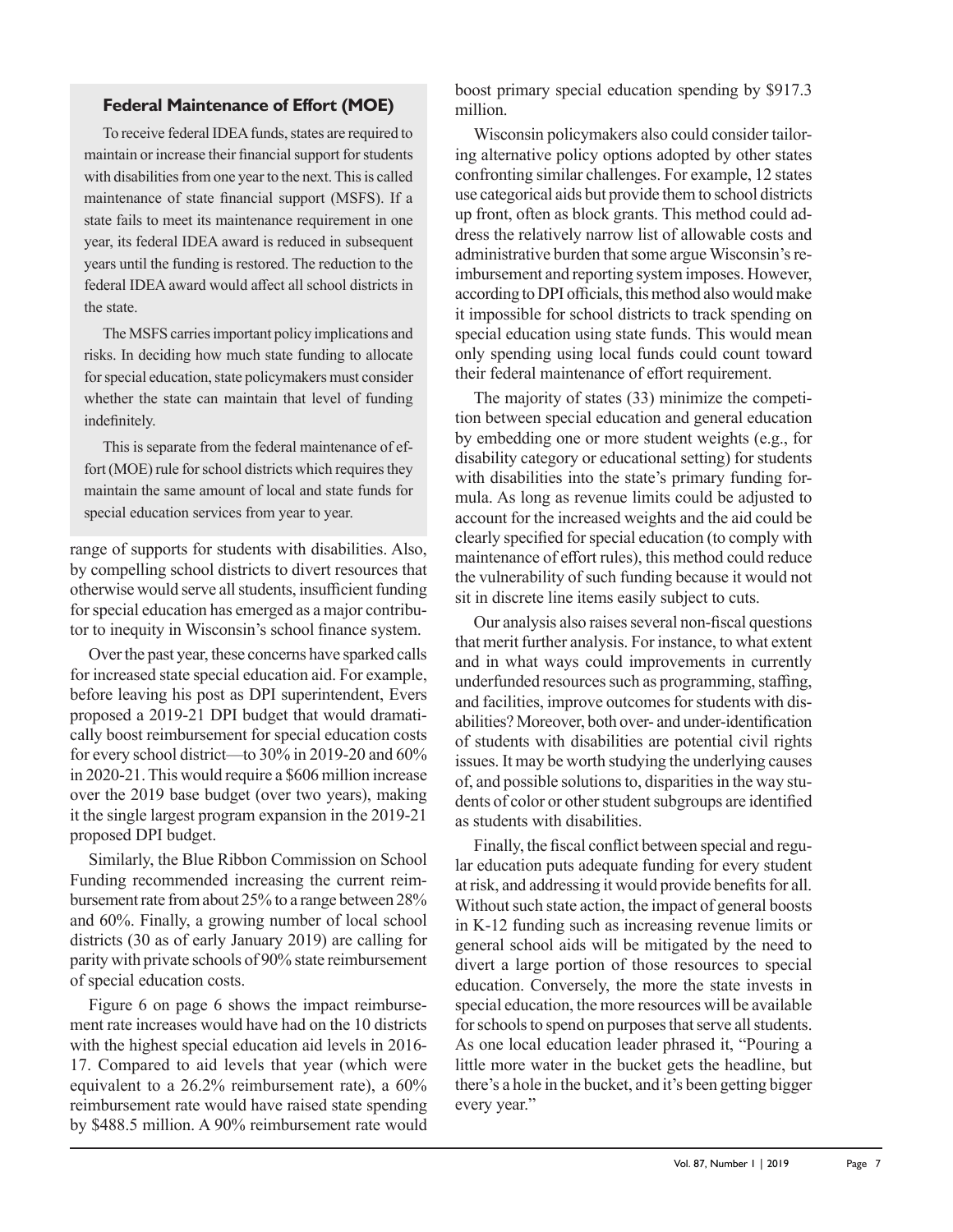### **Federal Maintenance of Effort (MOE)**

To receive federal IDEA funds, states are required to maintain or increase their financial support for students with disabilities from one year to the next. This is called maintenance of state financial support (MSFS). If a state fails to meet its maintenance requirement in one year, its federal IDEA award is reduced in subsequent years until the funding is restored. The reduction to the federal IDEA award would affect all school districts in the state.

The MSFS carries important policy implications and risks. In deciding how much state funding to allocate for special education, state policymakers must consider whether the state can maintain that level of funding indefinitely.

This is separate from the federal maintenance of effort (MOE) rule for school districts which requires they maintain the same amount of local and state funds for special education services from year to year.

range of supports for students with disabilities. Also, by compelling school districts to divert resources that otherwise would serve all students, insufficient funding for special education has emerged as a major contributor to inequity in Wisconsin's school finance system.

Over the past year, these concerns have sparked calls for increased state special education aid. For example, before leaving his post as DPI superintendent, Evers proposed a 2019-21 DPI budget that would dramatically boost reimbursement for special education costs for every school district—to 30% in 2019-20 and 60% in 2020-21. This would require a \$606 million increase over the 2019 base budget (over two years), making it the single largest program expansion in the 2019-21 proposed DPI budget.

Similarly, the Blue Ribbon Commission on School Funding recommended increasing the current reimbursement rate from about 25% to a range between 28% and 60%. Finally, a growing number of local school districts (30 as of early January 2019) are calling for parity with private schools of 90% state reimbursement of special education costs.

Figure 6 on page 6 shows the impact reimbursement rate increases would have had on the 10 districts with the highest special education aid levels in 2016- 17. Compared to aid levels that year (which were equivalent to a 26.2% reimbursement rate), a 60% reimbursement rate would have raised state spending by \$488.5 million. A 90% reimbursement rate would boost primary special education spending by \$917.3 million.

Wisconsin policymakers also could consider tailoring alternative policy options adopted by other states confronting similar challenges. For example, 12 states use categorical aids but provide them to school districts up front, often as block grants. This method could address the relatively narrow list of allowable costs and administrative burden that some argue Wisconsin's reimbursement and reporting system imposes. However, according to DPI officials, this method also would make it impossible for school districts to track spending on special education using state funds. This would mean only spending using local funds could count toward their federal maintenance of effort requirement.

The majority of states (33) minimize the competition between special education and general education by embedding one or more student weights (e.g., for disability category or educational setting) for students with disabilities into the state's primary funding formula. As long as revenue limits could be adjusted to account for the increased weights and the aid could be clearly specified for special education (to comply with maintenance of effort rules), this method could reduce the vulnerability of such funding because it would not sit in discrete line items easily subject to cuts.

Our analysis also raises several non-fiscal questions that merit further analysis. For instance, to what extent and in what ways could improvements in currently underfunded resources such as programming, staffing, and facilities, improve outcomes for students with disabilities? Moreover, both over- and under-identification of students with disabilities are potential civil rights issues. It may be worth studying the underlying causes of, and possible solutions to, disparities in the way students of color or other student subgroups are identified as students with disabilities.

Finally, the fiscal conflict between special and regular education puts adequate funding for every student at risk, and addressing it would provide benefits for all. Without such state action, the impact of general boosts in K-12 funding such as increasing revenue limits or general school aids will be mitigated by the need to divert a large portion of those resources to special education. Conversely, the more the state invests in special education, the more resources will be available for schools to spend on purposes that serve all students. As one local education leader phrased it, "Pouring a little more water in the bucket gets the headline, but there's a hole in the bucket, and it's been getting bigger every year."